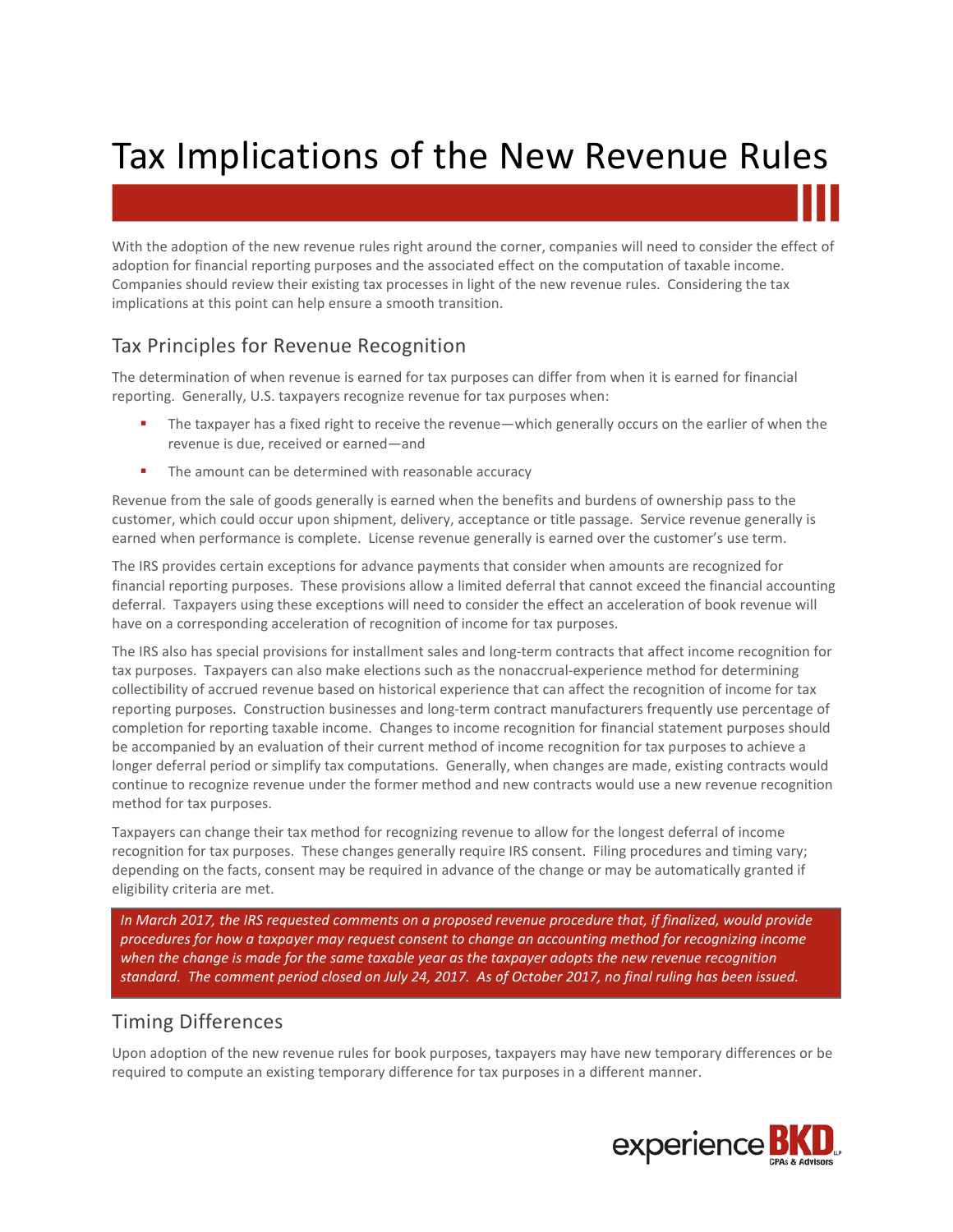# Tax Implications of the New Revenue Rules

With the adoption of the new revenue rules right around the corner, companies will need to consider the effect of adoption for financial reporting purposes and the associated effect on the computation of taxable income. Companies should review their existing tax processes in light of the new revenue rules. Considering the tax implications at this point can help ensure a smooth transition.

# Tax Principles for Revenue Recognition

The determination of when revenue is earned for tax purposes can differ from when it is earned for financial reporting. Generally, U.S. taxpayers recognize revenue for tax purposes when:

- The taxpayer has a fixed right to receive the revenue—which generally occurs on the earlier of when the revenue is due, received or earned—and
- **The amount can be determined with reasonable accuracy**

Revenue from the sale of goods generally is earned when the benefits and burdens of ownership pass to the customer, which could occur upon shipment, delivery, acceptance or title passage. Service revenue generally is earned when performance is complete. License revenue generally is earned over the customer's use term.

The IRS provides certain exceptions for advance payments that consider when amounts are recognized for financial reporting purposes. These provisions allow a limited deferral that cannot exceed the financial accounting deferral. Taxpayers using these exceptions will need to consider the effect an acceleration of book revenue will have on a corresponding acceleration of recognition of income for tax purposes.

The IRS also has special provisions for installment sales and long-term contracts that affect income recognition for tax purposes. Taxpayers can also make elections such as the nonaccrual-experience method for determining collectibility of accrued revenue based on historical experience that can affect the recognition of income for tax reporting purposes. Construction businesses and long-term contract manufacturers frequently use percentage of completion for reporting taxable income. Changes to income recognition for financial statement purposes should be accompanied by an evaluation of their current method of income recognition for tax purposes to achieve a longer deferral period or simplify tax computations. Generally, when changes are made, existing contracts would continue to recognize revenue under the former method and new contracts would use a new revenue recognition method for tax purposes.

Taxpayers can change their tax method for recognizing revenue to allow for the longest deferral of income recognition for tax purposes. These changes generally require IRS consent. Filing procedures and timing vary; depending on the facts, consent may be required in advance of the change or may be automatically granted if eligibility criteria are met.

*In March 2017, the IRS requested comments on a proposed revenue procedure that, if finalized, would provide procedures for how a taxpayer may request consent to change an accounting method for recognizing income when the change is made for the same taxable year as the taxpayer adopts the new revenue recognition standard. The comment period closed on July 24, 2017. As of October 2017, no final ruling has been issued.* 

#### Timing Differences

Upon adoption of the new revenue rules for book purposes, taxpayers may have new temporary differences or be required to compute an existing temporary difference for tax purposes in a different manner.

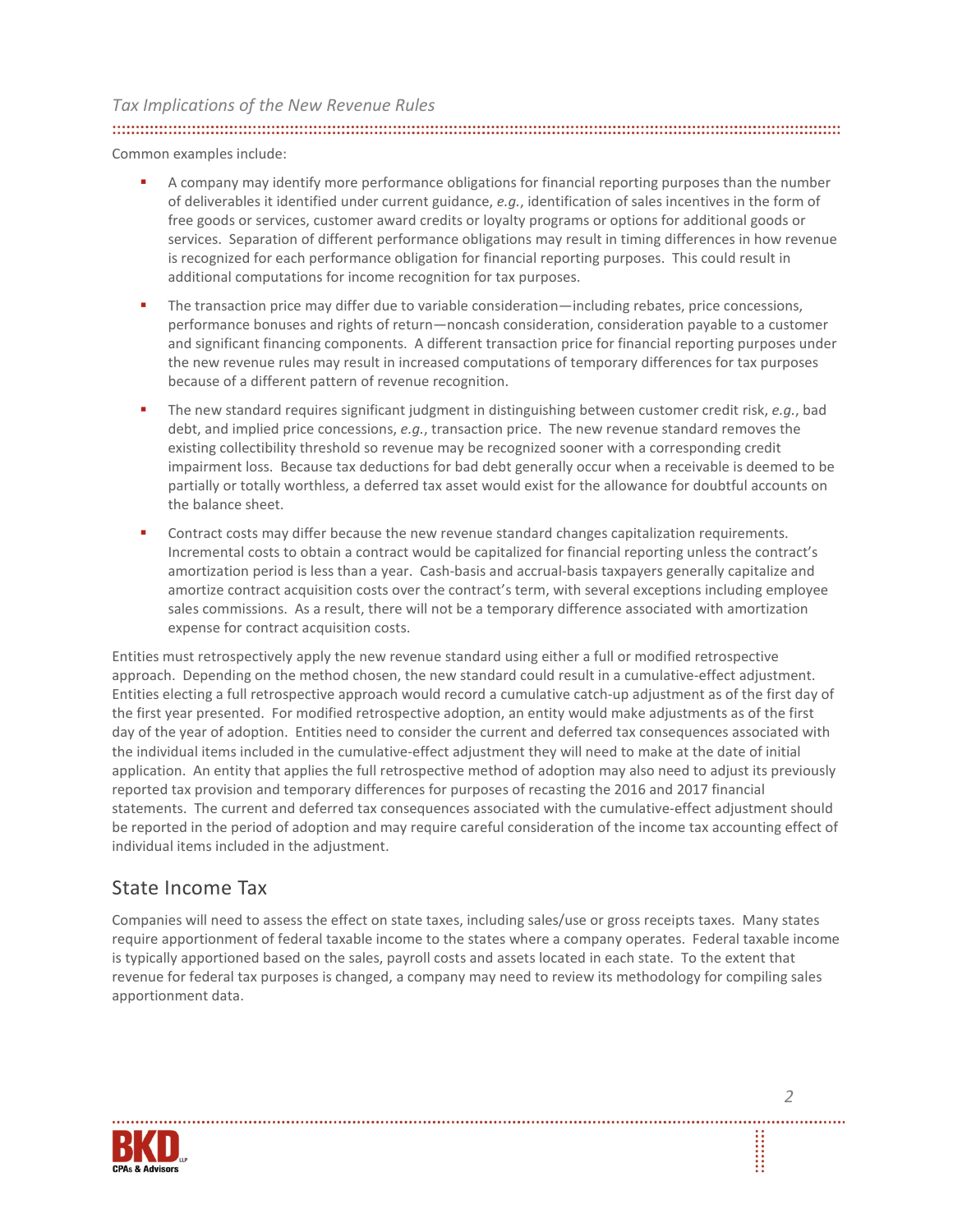#### *Tax Implications of the New Revenue Rules*

Common examples include:

- **A** company may identify more performance obligations for financial reporting purposes than the number of deliverables it identified under current guidance, *e.g.*, identification of sales incentives in the form of free goods or services, customer award credits or loyalty programs or options for additional goods or services. Separation of different performance obligations may result in timing differences in how revenue is recognized for each performance obligation for financial reporting purposes. This could result in additional computations for income recognition for tax purposes.
- The transaction price may differ due to variable consideration—including rebates, price concessions, performance bonuses and rights of return—noncash consideration, consideration payable to a customer and significant financing components. A different transaction price for financial reporting purposes under the new revenue rules may result in increased computations of temporary differences for tax purposes because of a different pattern of revenue recognition.
- The new standard requires significant judgment in distinguishing between customer credit risk, *e.g.*, bad debt, and implied price concessions, *e.g.*, transaction price. The new revenue standard removes the existing collectibility threshold so revenue may be recognized sooner with a corresponding credit impairment loss. Because tax deductions for bad debt generally occur when a receivable is deemed to be partially or totally worthless, a deferred tax asset would exist for the allowance for doubtful accounts on the balance sheet.
- Contract costs may differ because the new revenue standard changes capitalization requirements. Incremental costs to obtain a contract would be capitalized for financial reporting unless the contract's amortization period is less than a year. Cash-basis and accrual-basis taxpayers generally capitalize and amortize contract acquisition costs over the contract's term, with several exceptions including employee sales commissions. As a result, there will not be a temporary difference associated with amortization expense for contract acquisition costs.

Entities must retrospectively apply the new revenue standard using either a full or modified retrospective approach. Depending on the method chosen, the new standard could result in a cumulative-effect adjustment. Entities electing a full retrospective approach would record a cumulative catch-up adjustment as of the first day of the first year presented. For modified retrospective adoption, an entity would make adjustments as of the first day of the year of adoption. Entities need to consider the current and deferred tax consequences associated with the individual items included in the cumulative-effect adjustment they will need to make at the date of initial application. An entity that applies the full retrospective method of adoption may also need to adjust its previously reported tax provision and temporary differences for purposes of recasting the 2016 and 2017 financial statements. The current and deferred tax consequences associated with the cumulative-effect adjustment should be reported in the period of adoption and may require careful consideration of the income tax accounting effect of individual items included in the adjustment.

## State Income Tax

Companies will need to assess the effect on state taxes, including sales/use or gross receipts taxes. Many states require apportionment of federal taxable income to the states where a company operates. Federal taxable income is typically apportioned based on the sales, payroll costs and assets located in each state. To the extent that revenue for federal tax purposes is changed, a company may need to review its methodology for compiling sales apportionment data.



**SEE**